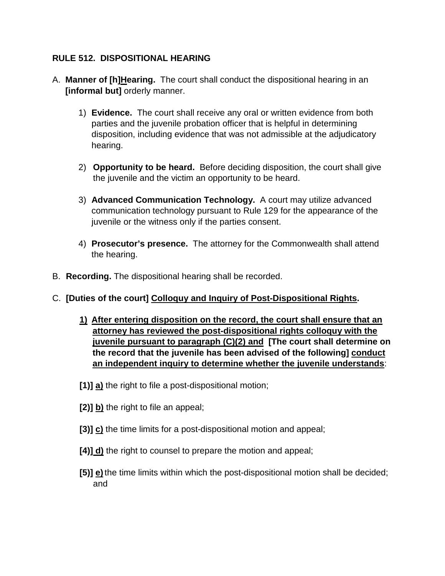### **RULE 512. DISPOSITIONAL HEARING**

- A. **Manner of [h]Hearing.** The court shall conduct the dispositional hearing in an **[informal but]** orderly manner.
	- 1) **Evidence.** The court shall receive any oral or written evidence from both parties and the juvenile probation officer that is helpful in determining disposition, including evidence that was not admissible at the adjudicatory hearing.
	- 2) **Opportunity to be heard.** Before deciding disposition, the court shall give the juvenile and the victim an opportunity to be heard.
	- 3) **Advanced Communication Technology.** A court may utilize advanced communication technology pursuant to Rule 129 for the appearance of the juvenile or the witness only if the parties consent.
	- 4) **Prosecutor's presence.** The attorney for the Commonwealth shall attend the hearing.
- B. **Recording.** The dispositional hearing shall be recorded.
- C. **[Duties of the court] Colloquy and Inquiry of Post-Dispositional Rights.** 
	- **1) After entering disposition on the record, the court shall ensure that an attorney has reviewed the post-dispositional rights colloquy with the juvenile pursuant to paragraph (C)(2) and [The court shall determine on the record that the juvenile has been advised of the following] conduct an independent inquiry to determine whether the juvenile understands**:
	- **[1)] a)** the right to file a post-dispositional motion;
	- **[2)] b)** the right to file an appeal;
	- **[3)] c)** the time limits for a post-dispositional motion and appeal;
	- **[4)] d)** the right to counsel to prepare the motion and appeal;
	- **[5)] e)**the time limits within which the post-dispositional motion shall be decided; and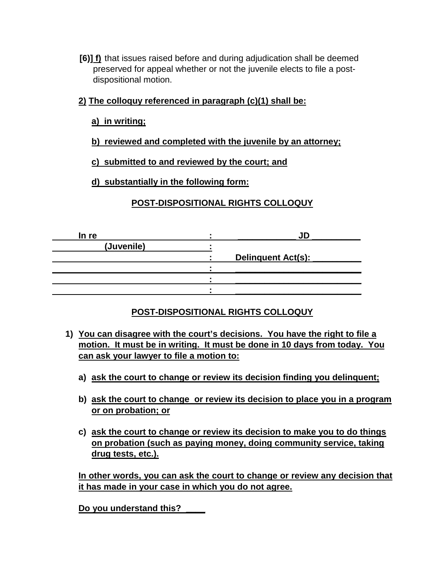- **[6)] f)** that issues raised before and during adjudication shall be deemed preserved for appeal whether or not the juvenile elects to file a postdispositional motion.
- **2) The colloquy referenced in paragraph (c)(1) shall be:** 
	- **a) in writing;**
	- **b) reviewed and completed with the juvenile by an attorney;**
	- **c) submitted to and reviewed by the court; and**

**d) substantially in the following form:** 

### **POST-DISPOSITIONAL RIGHTS COLLOQUY**

| In re      |                    |
|------------|--------------------|
| (Juvenile) |                    |
|            | Delinquent Act(s): |
|            |                    |
|            |                    |
|            |                    |

### **POST-DISPOSITIONAL RIGHTS COLLOQUY**

- **1) You can disagree with the court's decisions. You have the right to file a motion. It must be in writing. It must be done in 10 days from today. You can ask your lawyer to file a motion to:**
	- **a) ask the court to change or review its decision finding you delinquent;**
	- **b) ask the court to change or review its decision to place you in a program or on probation; or**
	- **c) ask the court to change or review its decision to make you to do things on probation (such as paying money, doing community service, taking drug tests, etc.).**

**In other words, you can ask the court to change or review any decision that it has made in your case in which you do not agree.** 

**Do you understand this? \_\_\_\_**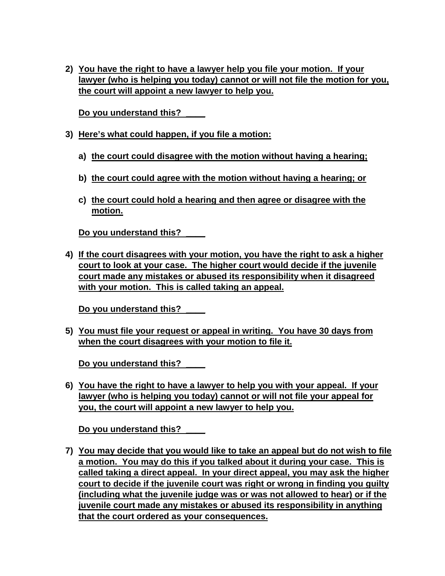**2) You have the right to have a lawyer help you file your motion. If your lawyer (who is helping you today) cannot or will not file the motion for you, the court will appoint a new lawyer to help you.** 

**Do you understand this? \_\_\_\_**

- **3) Here's what could happen, if you file a motion:** 
	- **a) the court could disagree with the motion without having a hearing;**
	- **b) the court could agree with the motion without having a hearing; or**
	- **c) the court could hold a hearing and then agree or disagree with the motion.**

**Do you understand this? \_\_\_\_**

**4) If the court disagrees with your motion, you have the right to ask a higher court to look at your case. The higher court would decide if the juvenile court made any mistakes or abused its responsibility when it disagreed with your motion. This is called taking an appeal.** 

**Do you understand this? \_\_\_\_**

**5) You must file your request or appeal in writing. You have 30 days from when the court disagrees with your motion to file it.**

**Do you understand this? \_\_\_\_**

**6) You have the right to have a lawyer to help you with your appeal. If your lawyer (who is helping you today) cannot or will not file your appeal for you, the court will appoint a new lawyer to help you.** 

**Do you understand this? \_\_\_\_**

**7) You may decide that you would like to take an appeal but do not wish to file a motion. You may do this if you talked about it during your case. This is called taking a direct appeal. In your direct appeal, you may ask the higher court to decide if the juvenile court was right or wrong in finding you guilty (including what the juvenile judge was or was not allowed to hear) or if the juvenile court made any mistakes or abused its responsibility in anything that the court ordered as your consequences.**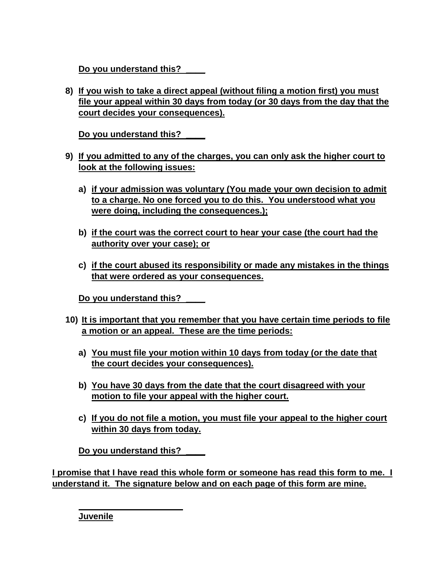**Do you understand this? \_\_\_\_**

**8) If you wish to take a direct appeal (without filing a motion first) you must file your appeal within 30 days from today (or 30 days from the day that the court decides your consequences).** 

**Do you understand this? \_\_\_\_**

- **9) If you admitted to any of the charges, you can only ask the higher court to look at the following issues:**
	- **a) if your admission was voluntary (You made your own decision to admit to a charge. No one forced you to do this. You understood what you were doing, including the consequences.);**
	- **b) if the court was the correct court to hear your case (the court had the authority over your case); or**
	- **c) if the court abused its responsibility or made any mistakes in the things that were ordered as your consequences.**

**Do you understand this? \_\_\_\_**

- **10) It is important that you remember that you have certain time periods to file a motion or an appeal. These are the time periods:**
	- **a) You must file your motion within 10 days from today (or the date that the court decides your consequences).**
	- **b) You have 30 days from the date that the court disagreed with your motion to file your appeal with the higher court.**
	- **c) If you do not file a motion, you must file your appeal to the higher court within 30 days from today.**

**Do you understand this? \_\_\_\_**

**I promise that I have read this whole form or someone has read this form to me. I understand it. The signature below and on each page of this form are mine.**

**Juvenile**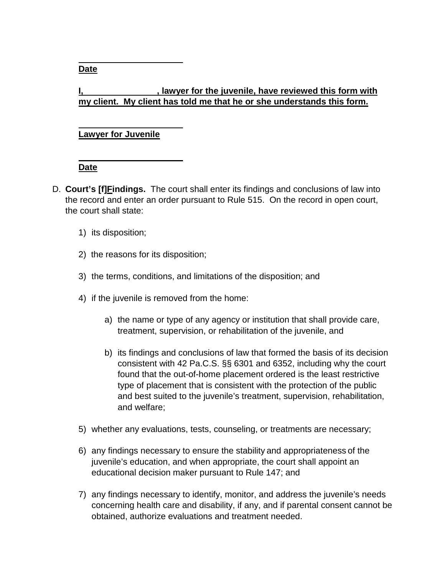**Date**

# **I** lawyer for the juvenile, have reviewed this form with **my client. My client has told me that he or she understands this form.**

### **Lawyer for Juvenile**

# **Date**

- D. **Court's [f]Findings.** The court shall enter its findings and conclusions of law into the record and enter an order pursuant to Rule 515. On the record in open court, the court shall state:
	- 1) its disposition;
	- 2) the reasons for its disposition;
	- 3) the terms, conditions, and limitations of the disposition; and
	- 4) if the juvenile is removed from the home:
		- a) the name or type of any agency or institution that shall provide care, treatment, supervision, or rehabilitation of the juvenile, and
		- b) its findings and conclusions of law that formed the basis of its decision consistent with 42 Pa.C.S. §§ 6301 and 6352, including why the court found that the out-of-home placement ordered is the least restrictive type of placement that is consistent with the protection of the public and best suited to the juvenile's treatment, supervision, rehabilitation, and welfare;
	- 5) whether any evaluations, tests, counseling, or treatments are necessary;
	- 6) any findings necessary to ensure the stability and appropriateness of the juvenile's education, and when appropriate, the court shall appoint an educational decision maker pursuant to Rule 147; and
	- 7) any findings necessary to identify, monitor, and address the juvenile's needs concerning health care and disability, if any, and if parental consent cannot be obtained, authorize evaluations and treatment needed.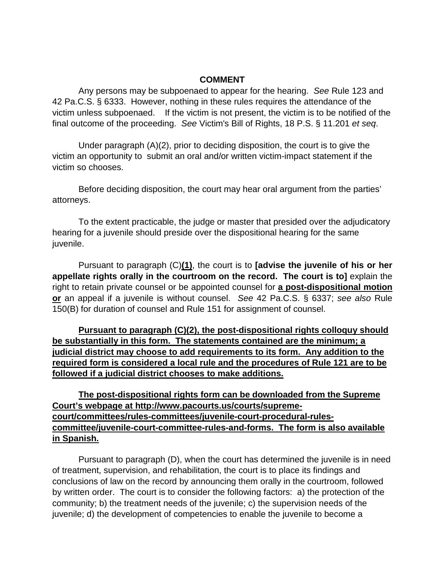#### **COMMENT**

Any persons may be subpoenaed to appear for the hearing. *See* Rule 123 and 42 Pa.C.S. § 6333. However, nothing in these rules requires the attendance of the victim unless subpoenaed. If the victim is not present, the victim is to be notified of the final outcome of the proceeding. *See* Victim's Bill of Rights, 18 P.S. § 11.201 *et seq*.

Under paragraph (A)(2), prior to deciding disposition, the court is to give the victim an opportunity to submit an oral and/or written victim-impact statement if the victim so chooses.

Before deciding disposition, the court may hear oral argument from the parties' attorneys.

To the extent practicable, the judge or master that presided over the adjudicatory hearing for a juvenile should preside over the dispositional hearing for the same juvenile.

Pursuant to paragraph (C)**(1)**, the court is to **[advise the juvenile of his or her appellate rights orally in the courtroom on the record. The court is to]** explain the right to retain private counsel or be appointed counsel for **a post-dispositional motion or** an appeal if a juvenile is without counsel. *See* 42 Pa.C.S. § 6337; *see also* Rule 150(B) for duration of counsel and Rule 151 for assignment of counsel.

**Pursuant to paragraph (C)(2), the post-dispositional rights colloquy should be substantially in this form. The statements contained are the minimum; a judicial district may choose to add requirements to its form. Any addition to the required form is considered a local rule and the procedures of Rule 121 are to be followed if a judicial district chooses to make additions.**

**The post-dispositional rights form can be downloaded from the Supreme Court's webpage at http://www.pacourts.us/courts/supremecourt/committees/rules-committees/juvenile-court-procedural-rulescommittee/juvenile-court-committee-rules-and-forms. The form is also available in Spanish.**

Pursuant to paragraph (D), when the court has determined the juvenile is in need of treatment, supervision, and rehabilitation, the court is to place its findings and conclusions of law on the record by announcing them orally in the courtroom, followed by written order. The court is to consider the following factors: a) the protection of the community; b) the treatment needs of the juvenile; c) the supervision needs of the juvenile; d) the development of competencies to enable the juvenile to become a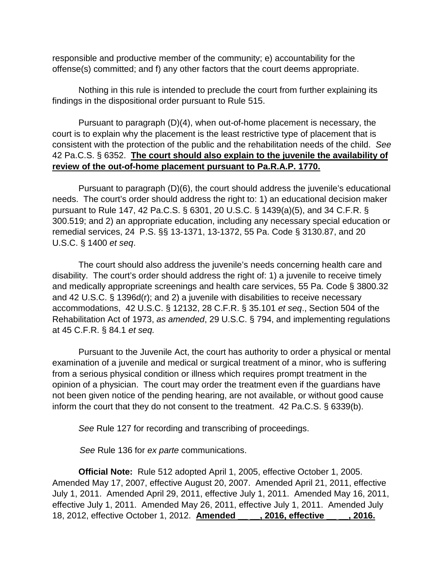responsible and productive member of the community; e) accountability for the offense(s) committed; and f) any other factors that the court deems appropriate.

Nothing in this rule is intended to preclude the court from further explaining its findings in the dispositional order pursuant to Rule 515.

Pursuant to paragraph (D)(4), when out-of-home placement is necessary, the court is to explain why the placement is the least restrictive type of placement that is consistent with the protection of the public and the rehabilitation needs of the child. *See*  42 Pa.C.S. § 6352. **The court should also explain to the juvenile the availability of review of the out-of-home placement pursuant to Pa.R.A.P. 1770.**

Pursuant to paragraph (D)(6), the court should address the juvenile's educational needs. The court's order should address the right to: 1) an educational decision maker pursuant to Rule 147, 42 Pa.C.S. § 6301, 20 U.S.C. § 1439(a)(5), and 34 C.F.R. § 300.519; and 2) an appropriate education, including any necessary special education or remedial services, 24 P.S. §§ 13-1371, 13-1372, 55 Pa. Code § 3130.87, and 20 U.S.C. § 1400 *et seq*.

The court should also address the juvenile's needs concerning health care and disability. The court's order should address the right of: 1) a juvenile to receive timely and medically appropriate screenings and health care services, 55 Pa. Code § 3800.32 and 42 U.S.C. § 1396d(r); and 2) a juvenile with disabilities to receive necessary accommodations, 42 U.S.C. § 12132, 28 C.F.R. § 35.101 *et seq*., Section 504 of the Rehabilitation Act of 1973, *as amended*, 29 U.S.C. § 794, and implementing regulations at 45 C.F.R. § 84.1 *et seq.*

Pursuant to the Juvenile Act, the court has authority to order a physical or mental examination of a juvenile and medical or surgical treatment of a minor, who is suffering from a serious physical condition or illness which requires prompt treatment in the opinion of a physician. The court may order the treatment even if the guardians have not been given notice of the pending hearing, are not available, or without good cause inform the court that they do not consent to the treatment. 42 Pa.C.S. § 6339(b).

*See* Rule 127 for recording and transcribing of proceedings.

*See* Rule 136 for *ex parte* communications.

**Official Note:** Rule 512 adopted April 1, 2005, effective October 1, 2005. Amended May 17, 2007, effective August 20, 2007. Amended April 21, 2011, effective July 1, 2011. Amended April 29, 2011, effective July 1, 2011. Amended May 16, 2011, effective July 1, 2011. Amended May 26, 2011, effective July 1, 2011. Amended July 18, 2012, effective October 1, 2012. **Amended \_\_ \_\_, 2016, effective \_\_ \_\_, 2016.**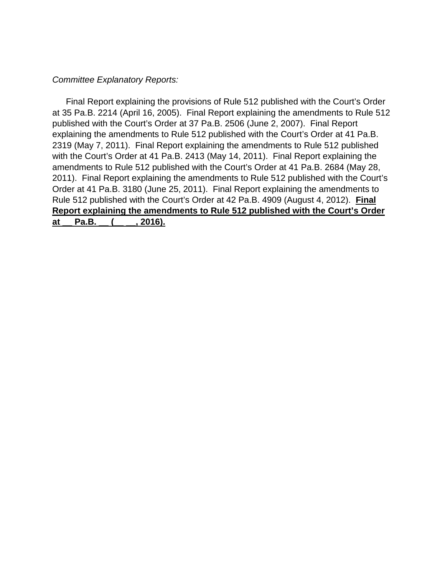#### *Committee Explanatory Reports:*

Final Report explaining the provisions of Rule 512 published with the Court's Order at 35 Pa.B. 2214 (April 16, 2005). Final Report explaining the amendments to Rule 512 published with the Court's Order at 37 Pa.B. 2506 (June 2, 2007). Final Report explaining the amendments to Rule 512 published with the Court's Order at 41 Pa.B. 2319 (May 7, 2011). Final Report explaining the amendments to Rule 512 published with the Court's Order at 41 Pa.B. 2413 (May 14, 2011). Final Report explaining the amendments to Rule 512 published with the Court's Order at 41 Pa.B. 2684 (May 28, 2011). Final Report explaining the amendments to Rule 512 published with the Court's Order at 41 Pa.B. 3180 (June 25, 2011). Final Report explaining the amendments to Rule 512 published with the Court's Order at 42 Pa.B. 4909 (August 4, 2012). **Final Report explaining the amendments to Rule 512 published with the Court's Order**  at Pa.B. ( , 2016).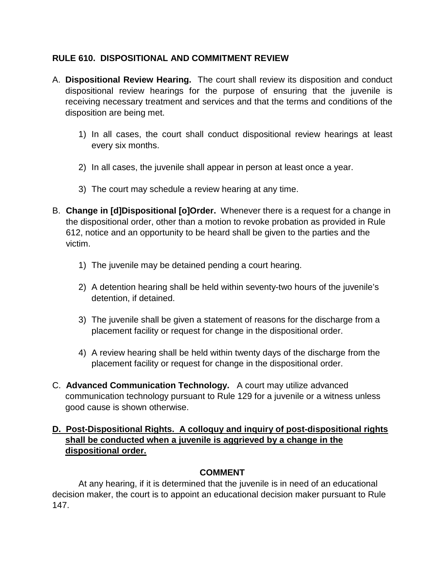### **RULE 610. DISPOSITIONAL AND COMMITMENT REVIEW**

- A. **Dispositional Review Hearing.** The court shall review its disposition and conduct dispositional review hearings for the purpose of ensuring that the juvenile is receiving necessary treatment and services and that the terms and conditions of the disposition are being met.
	- 1) In all cases, the court shall conduct dispositional review hearings at least every six months.
	- 2) In all cases, the juvenile shall appear in person at least once a year.
	- 3) The court may schedule a review hearing at any time.
- B. **Change in [d]Dispositional [o]Order.** Whenever there is a request for a change in the dispositional order, other than a motion to revoke probation as provided in Rule 612, notice and an opportunity to be heard shall be given to the parties and the victim.
	- 1) The juvenile may be detained pending a court hearing.
	- 2) A detention hearing shall be held within seventy-two hours of the juvenile's detention, if detained.
	- 3) The juvenile shall be given a statement of reasons for the discharge from a placement facility or request for change in the dispositional order.
	- 4) A review hearing shall be held within twenty days of the discharge from the placement facility or request for change in the dispositional order.
- C. **Advanced Communication Technology.** A court may utilize advanced communication technology pursuant to Rule 129 for a juvenile or a witness unless good cause is shown otherwise.

#### **D. Post-Dispositional Rights. A colloquy and inquiry of post-dispositional rights shall be conducted when a juvenile is aggrieved by a change in the dispositional order.**

### **COMMENT**

At any hearing, if it is determined that the juvenile is in need of an educational decision maker, the court is to appoint an educational decision maker pursuant to Rule 147.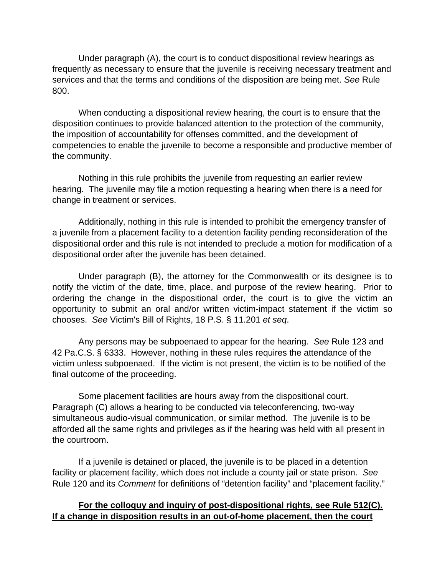Under paragraph (A), the court is to conduct dispositional review hearings as frequently as necessary to ensure that the juvenile is receiving necessary treatment and services and that the terms and conditions of the disposition are being met. *See* Rule 800.

When conducting a dispositional review hearing, the court is to ensure that the disposition continues to provide balanced attention to the protection of the community, the imposition of accountability for offenses committed, and the development of competencies to enable the juvenile to become a responsible and productive member of the community.

Nothing in this rule prohibits the juvenile from requesting an earlier review hearing. The juvenile may file a motion requesting a hearing when there is a need for change in treatment or services.

Additionally, nothing in this rule is intended to prohibit the emergency transfer of a juvenile from a placement facility to a detention facility pending reconsideration of the dispositional order and this rule is not intended to preclude a motion for modification of a dispositional order after the juvenile has been detained.

Under paragraph (B), the attorney for the Commonwealth or its designee is to notify the victim of the date, time, place, and purpose of the review hearing. Prior to ordering the change in the dispositional order, the court is to give the victim an opportunity to submit an oral and/or written victim-impact statement if the victim so chooses. *See* Victim's Bill of Rights, 18 P.S. § 11.201 *et seq*.

Any persons may be subpoenaed to appear for the hearing. *See* Rule 123 and 42 Pa.C.S. § 6333. However, nothing in these rules requires the attendance of the victim unless subpoenaed. If the victim is not present, the victim is to be notified of the final outcome of the proceeding.

Some placement facilities are hours away from the dispositional court. Paragraph (C) allows a hearing to be conducted via teleconferencing, two-way simultaneous audio-visual communication, or similar method. The juvenile is to be afforded all the same rights and privileges as if the hearing was held with all present in the courtroom.

If a juvenile is detained or placed, the juvenile is to be placed in a detention facility or placement facility, which does not include a county jail or state prison. *See*  Rule 120 and its *Comment* for definitions of "detention facility" and "placement facility."

#### **For the colloquy and inquiry of post-dispositional rights, see Rule 512(C). If a change in disposition results in an out-of-home placement, then the court**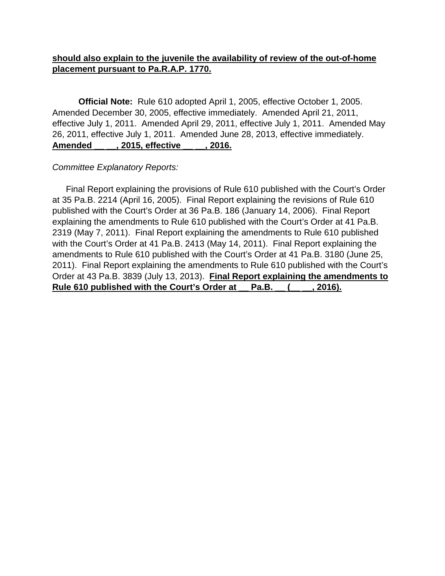## **should also explain to the juvenile the availability of review of the out-of-home placement pursuant to Pa.R.A.P. 1770.**

**Official Note:** Rule 610 adopted April 1, 2005, effective October 1, 2005. Amended December 30, 2005, effective immediately. Amended April 21, 2011, effective July 1, 2011. Amended April 29, 2011, effective July 1, 2011. Amended May 26, 2011, effective July 1, 2011. Amended June 28, 2013, effective immediately. **Amended \_\_ \_\_, 2015, effective \_\_ \_\_, 2016.**

#### *Committee Explanatory Reports:*

Final Report explaining the provisions of Rule 610 published with the Court's Order at 35 Pa.B. 2214 (April 16, 2005). Final Report explaining the revisions of Rule 610 published with the Court's Order at 36 Pa.B. 186 (January 14, 2006). Final Report explaining the amendments to Rule 610 published with the Court's Order at 41 Pa.B. 2319 (May 7, 2011). Final Report explaining the amendments to Rule 610 published with the Court's Order at 41 Pa.B. 2413 (May 14, 2011). Final Report explaining the amendments to Rule 610 published with the Court's Order at 41 Pa.B. 3180 (June 25, 2011). Final Report explaining the amendments to Rule 610 published with the Court's Order at 43 Pa.B. 3839 (July 13, 2013). **Final Report explaining the amendments to Rule 610 published with the Court's Order at \_\_ Pa.B. \_\_ (\_\_ \_\_, 2016).**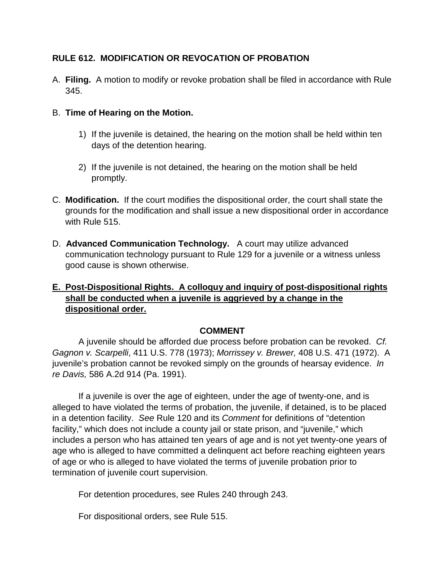## **RULE 612. MODIFICATION OR REVOCATION OF PROBATION**

- A. **Filing.** A motion to modify or revoke probation shall be filed in accordance with Rule 345.
- B. **Time of Hearing on the Motion.** 
	- 1) If the juvenile is detained, the hearing on the motion shall be held within ten days of the detention hearing.
	- 2) If the juvenile is not detained, the hearing on the motion shall be held promptly.
- C. **Modification.** If the court modifies the dispositional order, the court shall state the grounds for the modification and shall issue a new dispositional order in accordance with Rule 515.
- D. **Advanced Communication Technology.** A court may utilize advanced communication technology pursuant to Rule 129 for a juvenile or a witness unless good cause is shown otherwise.

# **E. Post-Dispositional Rights. A colloquy and inquiry of post-dispositional rights shall be conducted when a juvenile is aggrieved by a change in the dispositional order.**

#### **COMMENT**

A juvenile should be afforded due process before probation can be revoked. *Cf. Gagnon v. Scarpelli*, 411 U.S. 778 (1973); *Morrissey v. Brewer,* 408 U.S. 471 (1972). A juvenile's probation cannot be revoked simply on the grounds of hearsay evidence. *In re Davis,* 586 A.2d 914 (Pa. 1991).

If a juvenile is over the age of eighteen, under the age of twenty-one, and is alleged to have violated the terms of probation, the juvenile, if detained, is to be placed in a detention facility. *See* Rule 120 and its *Comment* for definitions of "detention facility," which does not include a county jail or state prison, and "juvenile," which includes a person who has attained ten years of age and is not yet twenty-one years of age who is alleged to have committed a delinquent act before reaching eighteen years of age or who is alleged to have violated the terms of juvenile probation prior to termination of juvenile court supervision.

For detention procedures, see Rules 240 through 243.

For dispositional orders, see Rule 515.